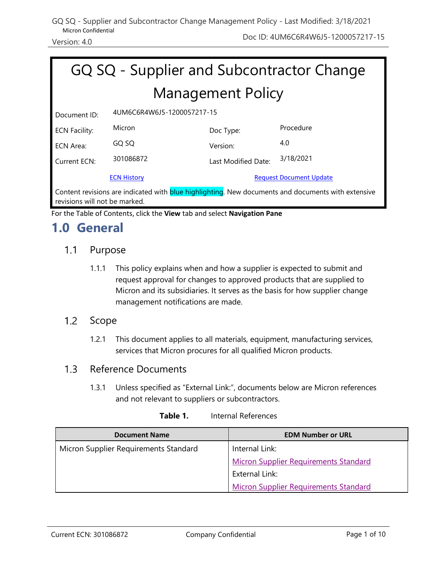### GQ SQ - Supplier and Subcontractor Change Management Policy - Last Modified: 3/18/2021 Micron Confidential

| GQ SQ - Supplier and Subcontractor Change                                                                                                   |                            |                     |           |  |
|---------------------------------------------------------------------------------------------------------------------------------------------|----------------------------|---------------------|-----------|--|
| <b>Management Policy</b>                                                                                                                    |                            |                     |           |  |
| Document ID:                                                                                                                                | 4UM6C6R4W6J5-1200057217-15 |                     |           |  |
| <b>ECN Facility:</b>                                                                                                                        | Micron                     | Doc Type:           | Procedure |  |
| ECN Area:                                                                                                                                   | GQ SQ                      | Version:            | 4.0       |  |
| Current ECN:                                                                                                                                | 301086872                  | Last Modified Date: | 3/18/2021 |  |
| <b>ECN History</b><br><b>Request Document Update</b>                                                                                        |                            |                     |           |  |
| Content revisions are indicated with <b>blue highlighting</b> . New documents and documents with extensive<br>revisions will not be marked. |                            |                     |           |  |

For the Table of Contents, click the **View** tab and select **Navigation Pane**

## **1.0 General**

#### $1.1$ Purpose

1.1.1 This policy explains when and how a supplier is expected to submit and request approval for changes to approved products that are supplied to Micron and its subsidiaries. It serves as the basis for how supplier change management notifications are made.

#### $1.2$ Scope

1.2.1 This document applies to all materials, equipment, manufacturing services, services that Micron procures for all qualified Micron products.

#### $1.3$ Reference Documents

1.3.1 Unless specified as "External Link:", documents below are Micron references and not relevant to suppliers or subcontractors.

| <b>Document Name</b>                  | <b>EDM Number or URL</b>                     |
|---------------------------------------|----------------------------------------------|
| Micron Supplier Requirements Standard | Internal Link:                               |
|                                       | <b>Micron Supplier Requirements Standard</b> |
|                                       | External Link:                               |
|                                       | <b>Micron Supplier Requirements Standard</b> |

| Table 1. | Internal References |
|----------|---------------------|
|          |                     |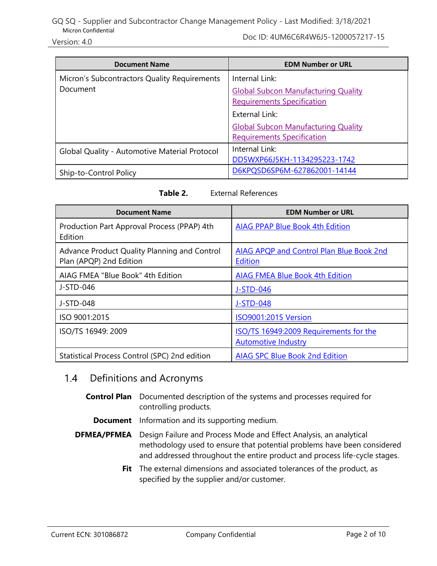Version: 4.0 Doc ID: 4UM6C6R4W6J5-1200057217-15

| <b>Document Name</b>                          | <b>EDM Number or URL</b>                   |
|-----------------------------------------------|--------------------------------------------|
| Micron's Subcontractors Quality Requirements  | Internal Link:                             |
| Document                                      | <b>Global Subcon Manufacturing Quality</b> |
|                                               | <b>Requirements Specification</b>          |
|                                               | External Link:                             |
|                                               | <b>Global Subcon Manufacturing Quality</b> |
|                                               | <b>Requirements Specification</b>          |
| Global Quality - Automotive Material Protocol | Internal Link:                             |
|                                               | DD5WXP66J5KH-1134295223-1742               |
| Ship-to-Control Policy                        | D6KPQSD6SP6M-627862001-14144               |

| <b>Document Name</b>                                                    | <b>EDM Number or URL</b>                                             |
|-------------------------------------------------------------------------|----------------------------------------------------------------------|
| Production Part Approval Process (PPAP) 4th<br>Edition                  | <b>AIAG PPAP Blue Book 4th Edition</b>                               |
| Advance Product Quality Planning and Control<br>Plan (APQP) 2nd Edition | AIAG APQP and Control Plan Blue Book 2nd<br><b>Edition</b>           |
| AIAG FMEA "Blue Book" 4th Edition                                       | <b>AIAG FMEA Blue Book 4th Edition</b>                               |
| J-STD-046                                                               | J-STD-046                                                            |
| J-STD-048                                                               | J-STD-048                                                            |
| ISO 9001:2015                                                           | <b>ISO9001:2015 Version</b>                                          |
| ISO/TS 16949: 2009                                                      | ISO/TS 16949:2009 Requirements for the<br><b>Automotive Industry</b> |
| Statistical Process Control (SPC) 2nd edition                           | <b>AIAG SPC Blue Book 2nd Edition</b>                                |

#### $1.4$ Definitions and Acronyms

- **Control Plan** Documented description of the systems and processes required for controlling products.
	- **Document** Information and its supporting medium.
- **DFMEA/PFMEA** Design Failure and Process Mode and Effect Analysis, an analytical methodology used to ensure that potential problems have been considered and addressed throughout the entire product and process life-cycle stages.
	- **Fit** The external dimensions and associated tolerances of the product, as specified by the supplier and/or customer.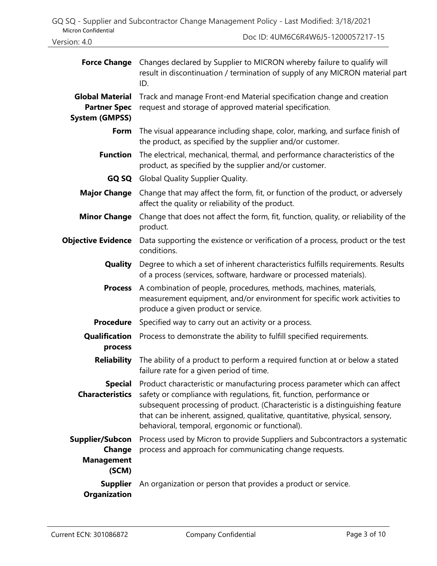|                     | GQ SQ - Supplier and Subcontractor Change Management Policy - Last Modified: 3/18/2021 |  |  |                                                      |  |
|---------------------|----------------------------------------------------------------------------------------|--|--|------------------------------------------------------|--|
| Micron Confidential |                                                                                        |  |  | $D_{\text{max}}$ in interest the condition of $\sim$ |  |

| Version: 4.0 |  |
|--------------|--|
|              |  |

Doc ID: 4UM6C6R4W6J5-1200057217-15

| <b>Force Change</b>                                                    | Changes declared by Supplier to MICRON whereby failure to qualify will<br>result in discontinuation / termination of supply of any MICRON material part<br>ID.                                                                                                                                                                                                          |  |
|------------------------------------------------------------------------|-------------------------------------------------------------------------------------------------------------------------------------------------------------------------------------------------------------------------------------------------------------------------------------------------------------------------------------------------------------------------|--|
| <b>Global Material</b><br><b>Partner Spec</b><br><b>System (GMPSS)</b> | Track and manage Front-end Material specification change and creation<br>request and storage of approved material specification.                                                                                                                                                                                                                                        |  |
|                                                                        | <b>Form</b> The visual appearance including shape, color, marking, and surface finish of<br>the product, as specified by the supplier and/or customer.                                                                                                                                                                                                                  |  |
| <b>Function</b>                                                        | The electrical, mechanical, thermal, and performance characteristics of the<br>product, as specified by the supplier and/or customer.                                                                                                                                                                                                                                   |  |
|                                                                        | GQ SQ Global Quality Supplier Quality.                                                                                                                                                                                                                                                                                                                                  |  |
| <b>Major Change</b>                                                    | Change that may affect the form, fit, or function of the product, or adversely<br>affect the quality or reliability of the product.                                                                                                                                                                                                                                     |  |
| <b>Minor Change</b>                                                    | Change that does not affect the form, fit, function, quality, or reliability of the<br>product.                                                                                                                                                                                                                                                                         |  |
| <b>Objective Evidence</b>                                              | Data supporting the existence or verification of a process, product or the test<br>conditions.                                                                                                                                                                                                                                                                          |  |
| Quality                                                                | Degree to which a set of inherent characteristics fulfills requirements. Results<br>of a process (services, software, hardware or processed materials).                                                                                                                                                                                                                 |  |
| <b>Process</b>                                                         | A combination of people, procedures, methods, machines, materials,<br>measurement equipment, and/or environment for specific work activities to<br>produce a given product or service.                                                                                                                                                                                  |  |
| <b>Procedure</b>                                                       | Specified way to carry out an activity or a process.                                                                                                                                                                                                                                                                                                                    |  |
| <b>Qualification</b><br>process                                        | Process to demonstrate the ability to fulfill specified requirements.                                                                                                                                                                                                                                                                                                   |  |
| <b>Reliability</b>                                                     | The ability of a product to perform a required function at or below a stated<br>failure rate for a given period of time.                                                                                                                                                                                                                                                |  |
| <b>Special</b><br><b>Characteristics</b>                               | Product characteristic or manufacturing process parameter which can affect<br>safety or compliance with regulations, fit, function, performance or<br>subsequent processing of product. (Characteristic is a distinguishing feature<br>that can be inherent, assigned, qualitative, quantitative, physical, sensory,<br>behavioral, temporal, ergonomic or functional). |  |
| <b>Supplier/Subcon</b><br>Change<br><b>Management</b><br>(SCM)         | Process used by Micron to provide Suppliers and Subcontractors a systematic<br>process and approach for communicating change requests.                                                                                                                                                                                                                                  |  |
| <b>Supplier</b><br><b>Organization</b>                                 | An organization or person that provides a product or service.                                                                                                                                                                                                                                                                                                           |  |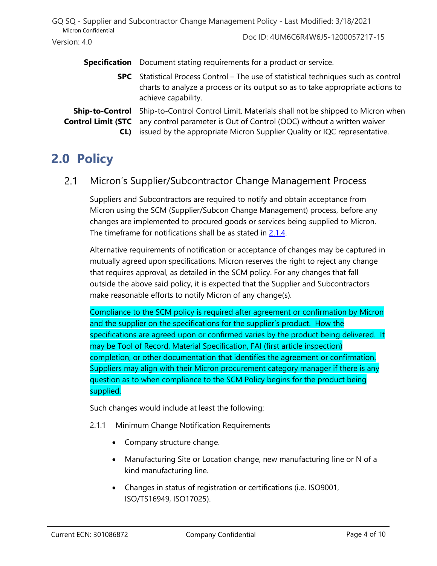| <b>Micron Confidential</b>                                 | GQ SQ - Supplier and Subcontractor Change Management Policy - Last Modified: 3/18/2021                                                                                                                                             |
|------------------------------------------------------------|------------------------------------------------------------------------------------------------------------------------------------------------------------------------------------------------------------------------------------|
| Version: 4.0                                               | Doc ID: 4UM6C6R4W6J5-1200057217-15                                                                                                                                                                                                 |
| <b>Specification</b>                                       | Document stating requirements for a product or service.                                                                                                                                                                            |
|                                                            | <b>SPC</b> Statistical Process Control – The use of statistical techniques such as control<br>charts to analyze a process or its output so as to take appropriate actions to<br>achieve capability.                                |
| <b>Ship-to-Control</b><br><b>Control Limit (STC</b><br>CL) | Ship-to-Control Control Limit. Materials shall not be shipped to Micron when<br>any control parameter is Out of Control (OOC) without a written waiver<br>issued by the appropriate Micron Supplier Quality or IQC representative. |

# **2.0 Policy**

#### <span id="page-3-0"></span> $2.1$ Micron's Supplier/Subcontractor Change Management Process

Suppliers and Subcontractors are required to notify and obtain acceptance from Micron using the SCM (Supplier/Subcon Change Management) process, before any changes are implemented to procured goods or services being supplied to Micron. The timeframe for notifications shall be as stated in [2.1.4.](#page-6-0)

Alternative requirements of notification or acceptance of changes may be captured in mutually agreed upon specifications. Micron reserves the right to reject any change that requires approval, as detailed in the SCM policy. For any changes that fall outside the above said policy, it is expected that the Supplier and Subcontractors make reasonable efforts to notify Micron of any change(s).

Compliance to the SCM policy is required after agreement or confirmation by Micron and the supplier on the specifications for the supplier's product. How the specifications are agreed upon or confirmed varies by the product being delivered. It may be Tool of Record, Material Specification, FAI (first article inspection) completion, or other documentation that identifies the agreement or confirmation. Suppliers may align with their Micron procurement category manager if there is any question as to when compliance to the SCM Policy begins for the product being supplied.

Such changes would include at least the following:

- 2.1.1 Minimum Change Notification Requirements
	- Company structure change.
	- Manufacturing Site or Location change, new manufacturing line or N of a kind manufacturing line.
	- Changes in status of registration or certifications (i.e. ISO9001, ISO/TS16949, ISO17025).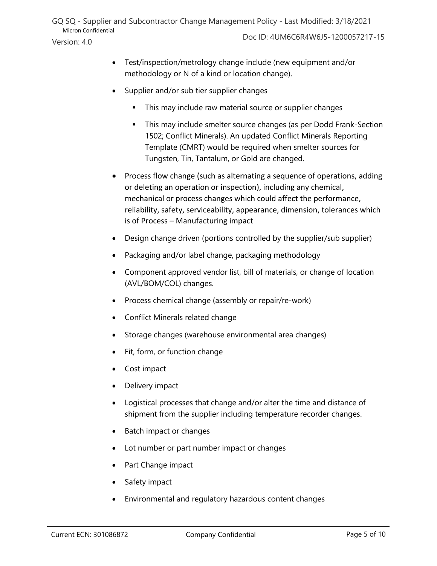- Test/inspection/metrology change include (new equipment and/or methodology or N of a kind or location change).
- Supplier and/or sub tier supplier changes
	- This may include raw material source or supplier changes
	- This may include smelter source changes (as per Dodd Frank-Section 1502; Conflict Minerals). An updated Conflict Minerals Reporting Template (CMRT) would be required when smelter sources for Tungsten, Tin, Tantalum, or Gold are changed.
- Process flow change (such as alternating a sequence of operations, adding or deleting an operation or inspection), including any chemical, mechanical or process changes which could affect the performance, reliability, safety, serviceability, appearance, dimension, tolerances which is of Process – Manufacturing impact
- Design change driven (portions controlled by the supplier/sub supplier)
- Packaging and/or label change, packaging methodology
- Component approved vendor list, bill of materials, or change of location (AVL/BOM/COL) changes.
- Process chemical change (assembly or repair/re-work)
- Conflict Minerals related change
- Storage changes (warehouse environmental area changes)
- Fit, form, or function change
- Cost impact
- Delivery impact
- Logistical processes that change and/or alter the time and distance of shipment from the supplier including temperature recorder changes.
- Batch impact or changes
- Lot number or part number impact or changes
- Part Change impact
- Safety impact
- Environmental and regulatory hazardous content changes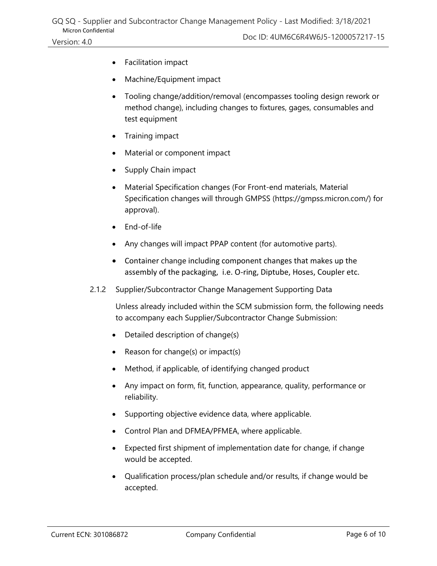### GQ SQ - Supplier and Subcontractor Change Management Policy - Last Modified: 3/18/2021 Micron Confidential

- Facilitation impact
- Machine/Equipment impact
- Tooling change/addition/removal (encompasses tooling design rework or method change), including changes to fixtures, gages, consumables and test equipment
- Training impact
- Material or component impact
- Supply Chain impact
- Material Specification changes (For Front-end materials, Material Specification changes will through GMPSS [\(https://gmpss.micron.com/\)](https://gmpss.micron.com/) for approval).
- End-of-life
- Any changes will impact PPAP content (for automotive parts).
- Container change including component changes that makes up the assembly of the packaging, i.e. O-ring, Diptube, Hoses, Coupler etc.
- 2.1.2 Supplier/Subcontractor Change Management Supporting Data

Unless already included within the SCM submission form, the following needs to accompany each Supplier/Subcontractor Change Submission:

- Detailed description of change(s)
- Reason for change(s) or impact(s)
- Method, if applicable, of identifying changed product
- Any impact on form, fit, function, appearance, quality, performance or reliability.
- Supporting objective evidence data, where applicable.
- Control Plan and DFMEA/PFMEA, where applicable.
- Expected first shipment of implementation date for change, if change would be accepted.
- Qualification process/plan schedule and/or results, if change would be accepted.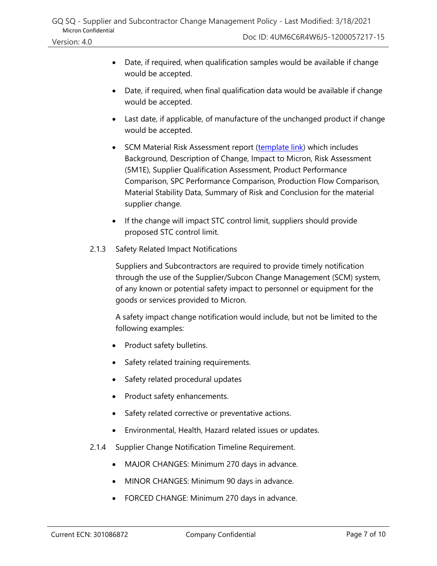- Date, if required, when final qualification data would be available if change would be accepted.
- Last date, if applicable, of manufacture of the unchanged product if change would be accepted.
- SCM Material Risk Assessment report [\(template link\)](https://www.micron.com/about/our-commitment/sourcing-responsibly/suppliers/registered-suppliers) which includes Background, Description of Change, Impact to Micron, Risk Assessment (5M1E), Supplier Qualification Assessment, Product Performance Comparison, SPC Performance Comparison, Production Flow Comparison, Material Stability Data, Summary of Risk and Conclusion for the material supplier change.
- If the change will impact STC control limit, suppliers should provide proposed STC control limit.
- 2.1.3 Safety Related Impact Notifications

Suppliers and Subcontractors are required to provide timely notification through the use of the Supplier/Subcon Change Management (SCM) system, of any known or potential safety impact to personnel or equipment for the goods or services provided to Micron.

A safety impact change notification would include, but not be limited to the following examples:

- Product safety bulletins.
- Safety related training requirements.
- Safety related procedural updates
- Product safety enhancements.
- Safety related corrective or preventative actions.
- Environmental, Health, Hazard related issues or updates.
- <span id="page-6-0"></span>2.1.4 Supplier Change Notification Timeline Requirement.
	- MAJOR CHANGES: Minimum 270 days in advance.
	- MINOR CHANGES: Minimum 90 days in advance.
	- FORCED CHANGE: Minimum 270 days in advance.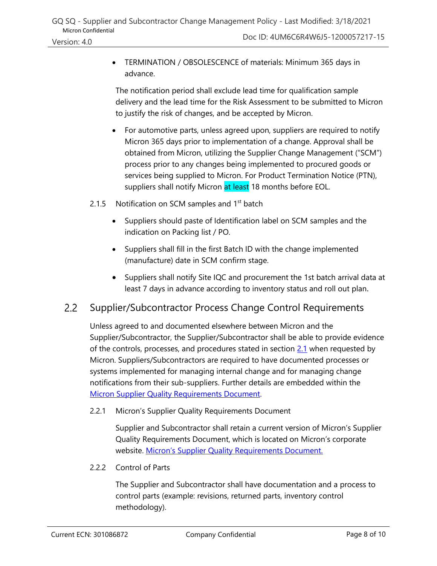• TERMINATION / OBSOLESCENCE of materials: Minimum 365 days in advance.

The notification period shall exclude lead time for qualification sample delivery and the lead time for the Risk Assessment to be submitted to Micron to justify the risk of changes, and be accepted by Micron.

- For automotive parts, unless agreed upon, suppliers are required to notify Micron 365 days prior to implementation of a change. Approval shall be obtained from Micron, utilizing the Supplier Change Management ("SCM") process prior to any changes being implemented to procured goods or services being supplied to Micron. For Product Termination Notice (PTN), suppliers shall notify Micron at least 18 months before EOL.
- 2.1.5 Notification on SCM samples and  $1<sup>st</sup>$  batch
	- Suppliers should paste of Identification label on SCM samples and the indication on Packing list / PO.
	- Suppliers shall fill in the first Batch ID with the change implemented (manufacture) date in SCM confirm stage.
	- Suppliers shall notify Site IQC and procurement the 1st batch arrival data at least 7 days in advance according to inventory status and roll out plan.

#### $2.2$ Supplier/Subcontractor Process Change Control Requirements

Unless agreed to and documented elsewhere between Micron and the Supplier/Subcontractor, the Supplier/Subcontractor shall be able to provide evidence of the controls, processes, and procedures stated in section  $2.1$  when requested by Micron. Suppliers/Subcontractors are required to have documented processes or systems implemented for managing internal change and for managing change notifications from their sub-suppliers. Further details are embedded within the [Micron Supplier Quality Requirements Document.](https://www.micron.com/-/media/client/global/documents/general/about/sqrd.pdf?la=en)

2.2.1 Micron's Supplier Quality Requirements Document

Supplier and Subcontractor shall retain a current version of Micron's Supplier Quality Requirements Document, which is located on Micron's corporate website. Micro[n's Supplier Quality Requirements Document](https://www.micron.com/resource-details/89828cfa-a003-4676-9f1d-a5753dfbc9be).

2.2.2 Control of Parts

The Supplier and Subcontractor shall have documentation and a process to control parts (example: revisions, returned parts, inventory control methodology).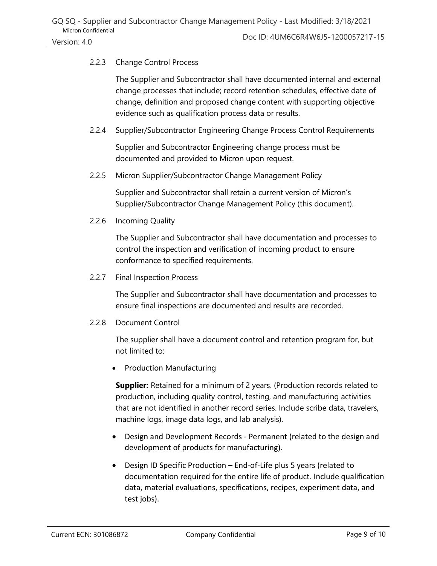### 2.2.3 Change Control Process

The Supplier and Subcontractor shall have documented internal and external change processes that include; record retention schedules, effective date of change, definition and proposed change content with supporting objective evidence such as qualification process data or results.

2.2.4 Supplier/Subcontractor Engineering Change Process Control Requirements

Supplier and Subcontractor Engineering change process must be documented and provided to Micron upon request.

2.2.5 Micron Supplier/Subcontractor Change Management Policy

Supplier and Subcontractor shall retain a current version of Micron's Supplier/Subcontractor Change Management Policy (this document).

2.2.6 Incoming Quality

The Supplier and Subcontractor shall have documentation and processes to control the inspection and verification of incoming product to ensure conformance to specified requirements.

2.2.7 Final Inspection Process

The Supplier and Subcontractor shall have documentation and processes to ensure final inspections are documented and results are recorded.

2.2.8 Document Control

The supplier shall have a document control and retention program for, but not limited to:

• Production Manufacturing

**Supplier:** Retained for a minimum of 2 years. (Production records related to production, including quality control, testing, and manufacturing activities that are not identified in another record series. Include scribe data, travelers, machine logs, image data logs, and lab analysis).

- Design and Development Records Permanent (related to the design and development of products for manufacturing).
- Design ID Specific Production End-of-Life plus 5 years (related to documentation required for the entire life of product. Include qualification data, material evaluations, specifications, recipes, experiment data, and test jobs).